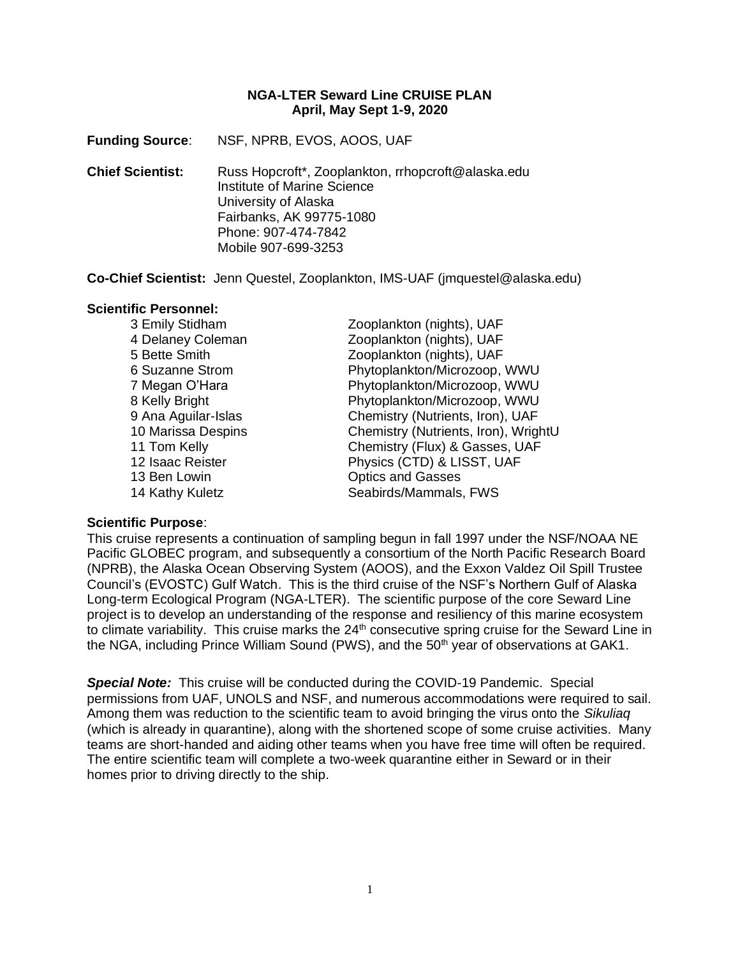### **NGA-LTER Seward Line CRUISE PLAN April, May Sept 1-9, 2020**

**Funding Source**: NSF, NPRB, EVOS, AOOS, UAF

**Chief Scientist:** Russ Hopcroft\*, Zooplankton, rrhopcroft@alaska.edu Institute of Marine Science University of Alaska Fairbanks, AK 99775-1080 Phone: 907-474-7842 Mobile 907-699-3253

**Co-Chief Scientist:** Jenn Questel, Zooplankton, IMS-UAF (jmquestel@alaska.edu)

#### **Scientific Personnel:**

13 Ben Lowin **Contract Contract Contract Contract Contract Contract Contract Contract Contract Contract Contract Contract Contract Contract Contract Contract Contract Contract Contract Contract Contract Contract Contract C** 

3 Emily Stidham Zooplankton (nights), UAF 4 Delaney Coleman Zooplankton (nights), UAF 5 Bette Smith Zooplankton (nights), UAF 6 Suzanne Strom Phytoplankton/Microzoop, WWU 7 Megan O'Hara **Phytoplankton/Microzoop, WWU** 8 Kelly Bright **Phytoplankton/Microzoop, WWU** 9 Ana Aguilar-Islas Chemistry (Nutrients, Iron), UAF 10 Marissa Despins Chemistry (Nutrients, Iron), WrightU 11 Tom Kelly Chemistry (Flux) & Gasses, UAF 12 Isaac Reister **Physics (CTD) & LISST, UAF** 14 Kathy Kuletz **Seabirds/Mammals, FWS** 

### **Scientific Purpose**:

This cruise represents a continuation of sampling begun in fall 1997 under the NSF/NOAA NE Pacific GLOBEC program, and subsequently a consortium of the North Pacific Research Board (NPRB), the Alaska Ocean Observing System (AOOS), and the Exxon Valdez Oil Spill Trustee Council's (EVOSTC) Gulf Watch. This is the third cruise of the NSF's Northern Gulf of Alaska Long-term Ecological Program (NGA-LTER). The scientific purpose of the core Seward Line project is to develop an understanding of the response and resiliency of this marine ecosystem to climate variability. This cruise marks the  $24<sup>th</sup>$  consecutive spring cruise for the Seward Line in the NGA, including Prince William Sound (PWS), and the 50<sup>th</sup> year of observations at GAK1.

*Special Note:* This cruise will be conducted during the COVID-19 Pandemic. Special permissions from UAF, UNOLS and NSF, and numerous accommodations were required to sail. Among them was reduction to the scientific team to avoid bringing the virus onto the *Sikuliaq* (which is already in quarantine), along with the shortened scope of some cruise activities. Many teams are short-handed and aiding other teams when you have free time will often be required. The entire scientific team will complete a two-week quarantine either in Seward or in their homes prior to driving directly to the ship.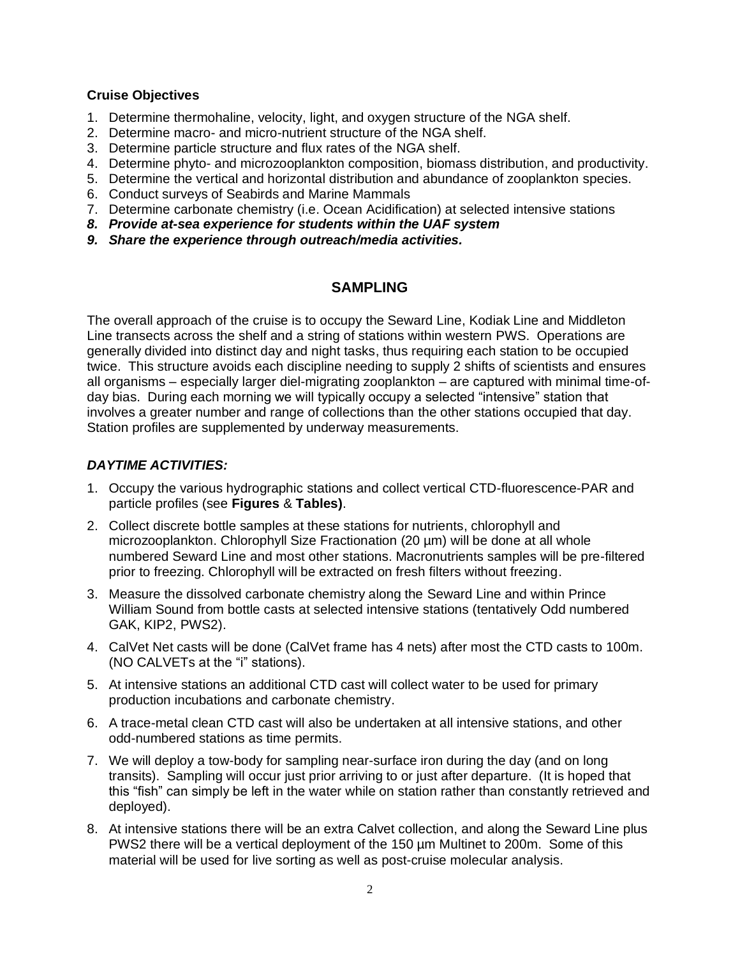### **Cruise Objectives**

- 1. Determine thermohaline, velocity, light, and oxygen structure of the NGA shelf.
- 2. Determine macro- and micro-nutrient structure of the NGA shelf.
- 3. Determine particle structure and flux rates of the NGA shelf.
- 4. Determine phyto- and microzooplankton composition, biomass distribution, and productivity.
- 5. Determine the vertical and horizontal distribution and abundance of zooplankton species.
- 6. Conduct surveys of Seabirds and Marine Mammals
- 7. Determine carbonate chemistry (i.e. Ocean Acidification) at selected intensive stations
- *8. Provide at-sea experience for students within the UAF system*
- *9. Share the experience through outreach/media activities.*

# **SAMPLING**

The overall approach of the cruise is to occupy the Seward Line, Kodiak Line and Middleton Line transects across the shelf and a string of stations within western PWS. Operations are generally divided into distinct day and night tasks, thus requiring each station to be occupied twice. This structure avoids each discipline needing to supply 2 shifts of scientists and ensures all organisms – especially larger diel-migrating zooplankton – are captured with minimal time-ofday bias. During each morning we will typically occupy a selected "intensive" station that involves a greater number and range of collections than the other stations occupied that day. Station profiles are supplemented by underway measurements.

# *DAYTIME ACTIVITIES:*

- 1. Occupy the various hydrographic stations and collect vertical CTD-fluorescence-PAR and particle profiles (see **Figures** & **Tables)**.
- 2. Collect discrete bottle samples at these stations for nutrients, chlorophyll and microzooplankton. Chlorophyll Size Fractionation (20 µm) will be done at all whole numbered Seward Line and most other stations. Macronutrients samples will be pre-filtered prior to freezing. Chlorophyll will be extracted on fresh filters without freezing.
- 3. Measure the dissolved carbonate chemistry along the Seward Line and within Prince William Sound from bottle casts at selected intensive stations (tentatively Odd numbered GAK, KIP2, PWS2).
- 4. CalVet Net casts will be done (CalVet frame has 4 nets) after most the CTD casts to 100m. (NO CALVETs at the "i" stations).
- 5. At intensive stations an additional CTD cast will collect water to be used for primary production incubations and carbonate chemistry.
- 6. A trace-metal clean CTD cast will also be undertaken at all intensive stations, and other odd-numbered stations as time permits.
- 7. We will deploy a tow-body for sampling near-surface iron during the day (and on long transits). Sampling will occur just prior arriving to or just after departure. (It is hoped that this "fish" can simply be left in the water while on station rather than constantly retrieved and deployed).
- 8. At intensive stations there will be an extra Calvet collection, and along the Seward Line plus PWS2 there will be a vertical deployment of the 150 µm Multinet to 200m. Some of this material will be used for live sorting as well as post-cruise molecular analysis.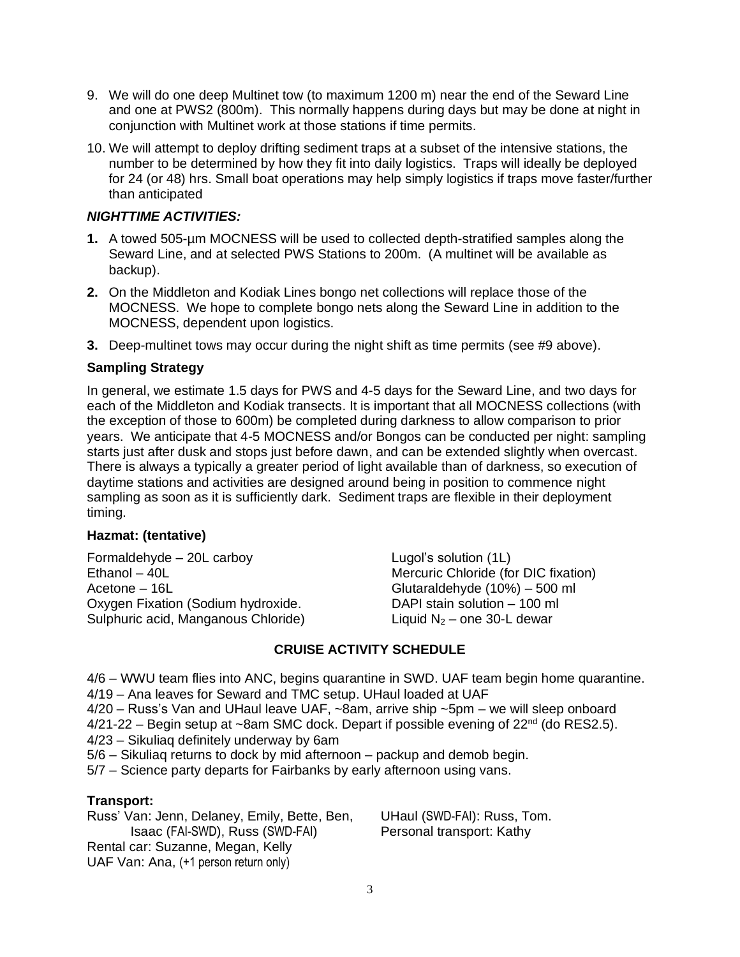- 9. We will do one deep Multinet tow (to maximum 1200 m) near the end of the Seward Line and one at PWS2 (800m). This normally happens during days but may be done at night in conjunction with Multinet work at those stations if time permits.
- 10. We will attempt to deploy drifting sediment traps at a subset of the intensive stations, the number to be determined by how they fit into daily logistics. Traps will ideally be deployed for 24 (or 48) hrs. Small boat operations may help simply logistics if traps move faster/further than anticipated

# *NIGHTTIME ACTIVITIES:*

- **1.** A towed 505-µm MOCNESS will be used to collected depth-stratified samples along the Seward Line, and at selected PWS Stations to 200m. (A multinet will be available as backup).
- **2.** On the Middleton and Kodiak Lines bongo net collections will replace those of the MOCNESS. We hope to complete bongo nets along the Seward Line in addition to the MOCNESS, dependent upon logistics.
- **3.** Deep-multinet tows may occur during the night shift as time permits (see #9 above).

## **Sampling Strategy**

In general, we estimate 1.5 days for PWS and 4-5 days for the Seward Line, and two days for each of the Middleton and Kodiak transects. It is important that all MOCNESS collections (with the exception of those to 600m) be completed during darkness to allow comparison to prior years. We anticipate that 4-5 MOCNESS and/or Bongos can be conducted per night: sampling starts just after dusk and stops just before dawn, and can be extended slightly when overcast. There is always a typically a greater period of light available than of darkness, so execution of daytime stations and activities are designed around being in position to commence night sampling as soon as it is sufficiently dark. Sediment traps are flexible in their deployment timing.

### **Hazmat: (tentative)**

Formaldehyde – 20L carboy Lugol's solution (1L) Ethanol – 40L Mercuric Chloride (for DIC fixation) Acetone – 16L Glutaraldehyde (10%) – 500 ml Oxygen Fixation (Sodium hydroxide. Sulphuric acid, Manganous Chloride)

DAPI stain solution – 100 ml Liquid  $N_2$  – one 30-L dewar

## **CRUISE ACTIVITY SCHEDULE**

4/6 – WWU team flies into ANC, begins quarantine in SWD. UAF team begin home quarantine. 4/19 – Ana leaves for Seward and TMC setup. UHaul loaded at UAF

- 4/20 Russ's Van and UHaul leave UAF, ~8am, arrive ship ~5pm we will sleep onboard
- $4/21-22$  Begin setup at ~8am SMC dock. Depart if possible evening of  $22<sup>nd</sup>$  (do RES2.5).
- 4/23 Sikuliaq definitely underway by 6am
- 5/6 Sikuliaq returns to dock by mid afternoon packup and demob begin.
- 5/7 Science party departs for Fairbanks by early afternoon using vans.

### **Transport:**

Russ' Van: Jenn, Delaney, Emily, Bette, Ben, Isaac (FAI-SWD), Russ (SWD-FAI) Rental car: Suzanne, Megan, Kelly UAF Van: Ana, (+1 person return only)

UHaul (SWD-FAI): Russ, Tom. Personal transport: Kathy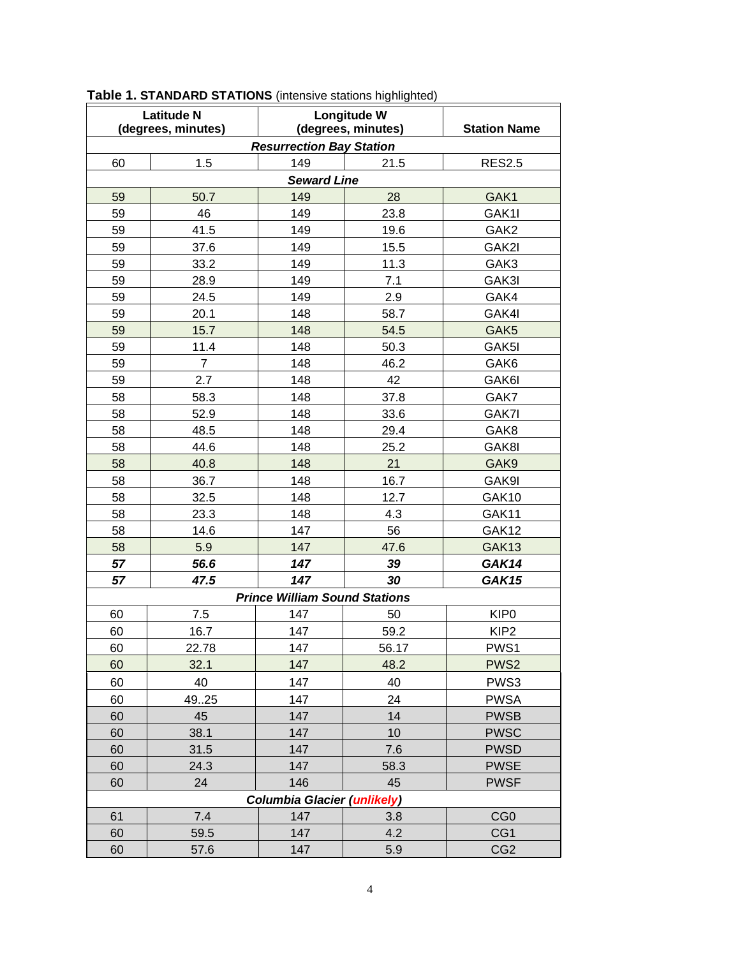| <b>Latitude N</b>                  |                | Longitude W                          |       |                     |  |  |  |  |
|------------------------------------|----------------|--------------------------------------|-------|---------------------|--|--|--|--|
| (degrees, minutes)                 |                | (degrees, minutes)                   |       | <b>Station Name</b> |  |  |  |  |
| <b>Resurrection Bay Station</b>    |                |                                      |       |                     |  |  |  |  |
| 60                                 | 1.5            | 149                                  | 21.5  | <b>RES2.5</b>       |  |  |  |  |
|                                    |                | <b>Seward Line</b>                   |       |                     |  |  |  |  |
| 59                                 | 50.7           | 149                                  | 28    | GAK1                |  |  |  |  |
| 59                                 | 46             | 149                                  | 23.8  | GAK1I               |  |  |  |  |
| 59                                 | 41.5           | 149                                  | 19.6  | GAK2                |  |  |  |  |
| 59                                 | 37.6           | 149                                  | 15.5  | GAK2I               |  |  |  |  |
| 59                                 | 33.2           | 149                                  | 11.3  | GAK3                |  |  |  |  |
| 59                                 | 28.9           | 149                                  | 7.1   | GAK3I               |  |  |  |  |
| 59                                 | 24.5           | 149                                  | 2.9   | GAK4                |  |  |  |  |
| 59                                 | 20.1           | 148                                  | 58.7  | GAK4I               |  |  |  |  |
| 59                                 | 15.7           | 148                                  | 54.5  | GAK <sub>5</sub>    |  |  |  |  |
| 59                                 | 11.4           | 148                                  | 50.3  | GAK5I               |  |  |  |  |
| 59                                 | $\overline{7}$ | 148                                  | 46.2  | GAK6                |  |  |  |  |
| 59                                 | 2.7            | 148                                  | 42    | GAK6I               |  |  |  |  |
| 58                                 | 58.3           | 148                                  | 37.8  | GAK7                |  |  |  |  |
| 58                                 | 52.9           | 148                                  | 33.6  | GAK7I               |  |  |  |  |
| 58                                 | 48.5           | 148                                  | 29.4  | GAK8                |  |  |  |  |
| 58                                 | 44.6           | 148                                  | 25.2  | GAK8I               |  |  |  |  |
| 58                                 | 40.8           | 148                                  | 21    | GAK9                |  |  |  |  |
| 58                                 | 36.7           | 148                                  | 16.7  | GAK9I               |  |  |  |  |
| 58                                 | 32.5           | 148                                  | 12.7  | GAK10               |  |  |  |  |
| 58                                 | 23.3           | 148                                  | 4.3   | GAK11               |  |  |  |  |
| 58                                 | 14.6           | 147                                  | 56    | GAK12               |  |  |  |  |
| 58                                 | 5.9            | 147                                  | 47.6  | GAK13               |  |  |  |  |
| 57                                 | 56.6           | 147                                  | 39    | GAK14               |  |  |  |  |
| 57                                 | 47.5           | 147                                  | 30    | <b>GAK15</b>        |  |  |  |  |
|                                    |                | <b>Prince William Sound Stations</b> |       |                     |  |  |  |  |
| 60                                 | 7.5            | 147                                  | 50    | KIP <sub>0</sub>    |  |  |  |  |
| 60                                 | 16.7           | 147                                  | 59.2  | KIP <sub>2</sub>    |  |  |  |  |
| 60                                 | 22.78          | 147                                  | 56.17 | PWS1                |  |  |  |  |
| 60                                 | 32.1           | 147                                  | 48.2  | PWS <sub>2</sub>    |  |  |  |  |
| 60                                 | 40             | 147                                  | 40    | PWS3                |  |  |  |  |
| 60                                 | 4925           | 147                                  | 24    | <b>PWSA</b>         |  |  |  |  |
| 60                                 | 45             | 147                                  | 14    | <b>PWSB</b>         |  |  |  |  |
| 60                                 | 38.1           | 147                                  | 10    | <b>PWSC</b>         |  |  |  |  |
| 60                                 | 31.5           | 147                                  | 7.6   | <b>PWSD</b>         |  |  |  |  |
| 60                                 | 24.3           | 147                                  | 58.3  | <b>PWSE</b>         |  |  |  |  |
| 60                                 | 24             | 146                                  | 45    | <b>PWSF</b>         |  |  |  |  |
| <b>Columbia Glacier (unlikely)</b> |                |                                      |       |                     |  |  |  |  |
| 61                                 | 7.4            | 147                                  | 3.8   | CG <sub>0</sub>     |  |  |  |  |
| 60                                 | 59.5           | 147                                  | 4.2   | CG1                 |  |  |  |  |
| 60                                 | 57.6           | 147                                  | 5.9   | CG <sub>2</sub>     |  |  |  |  |

**Table 1. STANDARD STATIONS** (intensive stations highlighted)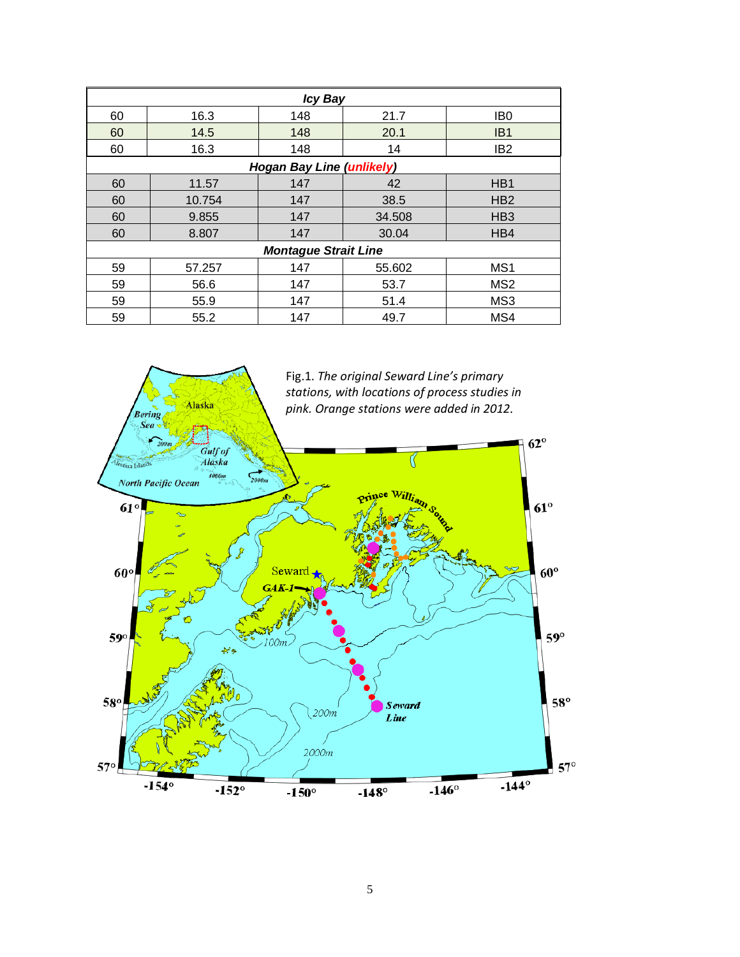| <b>Icy Bay</b>                   |        |     |        |                  |  |  |  |
|----------------------------------|--------|-----|--------|------------------|--|--|--|
| 60                               | 16.3   | 148 | 21.7   | IB <sub>0</sub>  |  |  |  |
| 60                               | 14.5   | 148 | 20.1   | IB <sub>1</sub>  |  |  |  |
| 60                               | 16.3   | 148 | 14     | IB <sub>2</sub>  |  |  |  |
| <b>Hogan Bay Line (unlikely)</b> |        |     |        |                  |  |  |  |
| 60                               | 11.57  | 147 | 42     | H <sub>B</sub> 1 |  |  |  |
| 60                               | 10.754 | 147 | 38.5   | HB <sub>2</sub>  |  |  |  |
| 60                               | 9.855  | 147 | 34.508 | HB <sub>3</sub>  |  |  |  |
| 60                               | 8.807  | 147 | 30.04  | H <sub>B4</sub>  |  |  |  |
| <b>Montague Strait Line</b>      |        |     |        |                  |  |  |  |
| 59                               | 57.257 | 147 | 55.602 | MS <sub>1</sub>  |  |  |  |
| 59                               | 56.6   | 147 | 53.7   | MS <sub>2</sub>  |  |  |  |
| 59                               | 55.9   | 147 | 51.4   | MS <sub>3</sub>  |  |  |  |
| 59                               | 55.2   | 147 | 49.7   | MS4              |  |  |  |

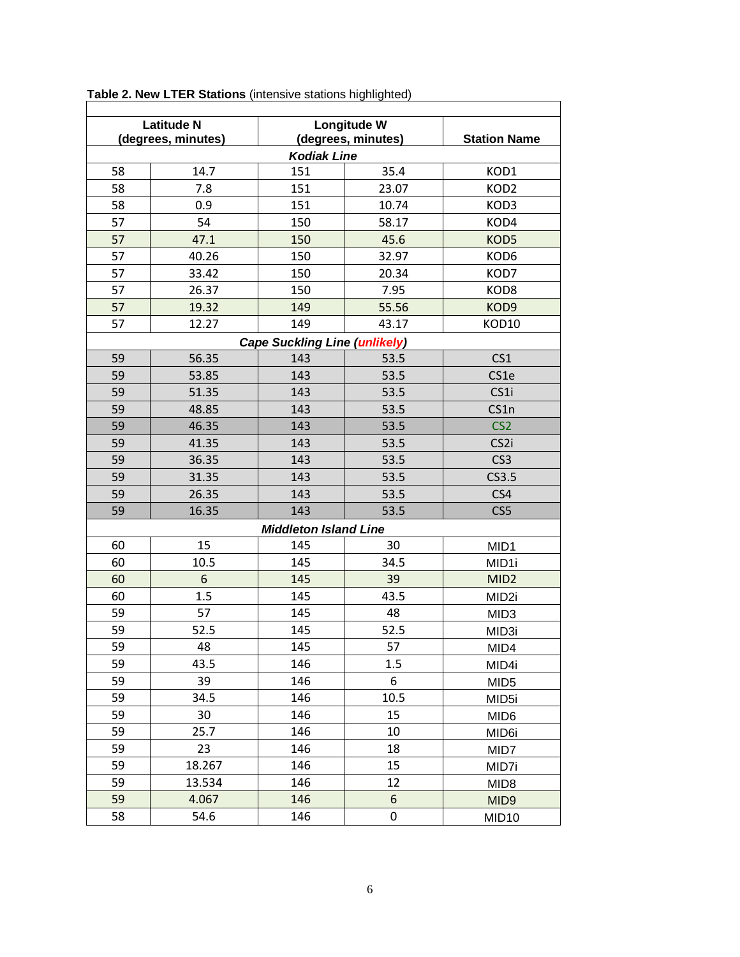| <b>Latitude N</b><br>(degrees, minutes) |        | Longitude W<br>(degrees, minutes) |       | <b>Station Name</b> |  |  |  |  |  |
|-----------------------------------------|--------|-----------------------------------|-------|---------------------|--|--|--|--|--|
| <b>Kodiak Line</b>                      |        |                                   |       |                     |  |  |  |  |  |
| 58                                      | 14.7   | 151                               | 35.4  | KOD1                |  |  |  |  |  |
| 58                                      | 7.8    | 151                               | 23.07 | KOD <sub>2</sub>    |  |  |  |  |  |
| 58                                      | 0.9    | 151                               | 10.74 | KOD3                |  |  |  |  |  |
| 57                                      | 54     | 150                               | 58.17 | KOD4                |  |  |  |  |  |
| 57                                      | 47.1   | 150                               | 45.6  | KOD5                |  |  |  |  |  |
| 57                                      | 40.26  | 150                               | 32.97 | KOD6                |  |  |  |  |  |
| 57                                      | 33.42  | 150                               | 20.34 | KOD7                |  |  |  |  |  |
| 57                                      | 26.37  | 150                               | 7.95  | KOD8                |  |  |  |  |  |
| 57                                      | 19.32  | 149                               | 55.56 | KOD9                |  |  |  |  |  |
| 57                                      | 12.27  | 149                               | 43.17 | KOD10               |  |  |  |  |  |
| <b>Cape Suckling Line (unlikely)</b>    |        |                                   |       |                     |  |  |  |  |  |
| 59                                      | 56.35  | 143                               | 53.5  | CS <sub>1</sub>     |  |  |  |  |  |
| 59                                      | 53.85  | 143                               | 53.5  | CS1e                |  |  |  |  |  |
| 59                                      | 51.35  | 143                               | 53.5  | CS1i                |  |  |  |  |  |
| 59                                      | 48.85  | 143                               | 53.5  | CS1n                |  |  |  |  |  |
| 59                                      | 46.35  | 143                               | 53.5  | CS <sub>2</sub>     |  |  |  |  |  |
| 59                                      | 41.35  | 143                               | 53.5  | CS <sub>2i</sub>    |  |  |  |  |  |
| 59                                      | 36.35  | 143                               | 53.5  | CS <sub>3</sub>     |  |  |  |  |  |
| 59                                      | 31.35  | 143                               | 53.5  | CS3.5               |  |  |  |  |  |
| 59                                      | 26.35  | 143                               | 53.5  | CS4                 |  |  |  |  |  |
| 59                                      | 16.35  | 143                               | 53.5  | CS5                 |  |  |  |  |  |
|                                         |        | <b>Middleton Island Line</b>      |       |                     |  |  |  |  |  |
| 60                                      | 15     | 145                               | 30    | MID1                |  |  |  |  |  |
| 60                                      | 10.5   | 145                               | 34.5  | MID1i               |  |  |  |  |  |
| 60                                      | 6      | 145                               | 39    | MID <sub>2</sub>    |  |  |  |  |  |
| 60                                      | 1.5    | 145                               | 43.5  | MID <sub>2i</sub>   |  |  |  |  |  |
| 59                                      | 57     | 145                               | 48    | MID <sub>3</sub>    |  |  |  |  |  |
| 59                                      | 52.5   | 145                               | 52.5  | MID3i               |  |  |  |  |  |
| 59                                      | 48     | 145                               | 57    | MID4                |  |  |  |  |  |
| 59                                      | 43.5   | 146                               | 1.5   | MID4i               |  |  |  |  |  |
| 59                                      | 39     | 146                               | 6     | MID <sub>5</sub>    |  |  |  |  |  |
| 59                                      | 34.5   | 146                               | 10.5  | MID <sub>5i</sub>   |  |  |  |  |  |
| 59                                      | 30     | 146                               | 15    | MID <sub>6</sub>    |  |  |  |  |  |
| 59                                      | 25.7   | 146                               | 10    | MID <sub>6i</sub>   |  |  |  |  |  |
| 59                                      | 23     | 146                               | 18    | MID7                |  |  |  |  |  |
| 59                                      | 18.267 | 146                               | 15    | MID7i               |  |  |  |  |  |
| 59                                      | 13.534 | 146                               | 12    | MID <sub>8</sub>    |  |  |  |  |  |
| 59                                      | 4.067  | 146                               | 6     | MID <sub>9</sub>    |  |  |  |  |  |
| 58                                      | 54.6   | 146                               | 0     | MID <sub>10</sub>   |  |  |  |  |  |

**Table 2. New LTER Stations** (intensive stations highlighted)